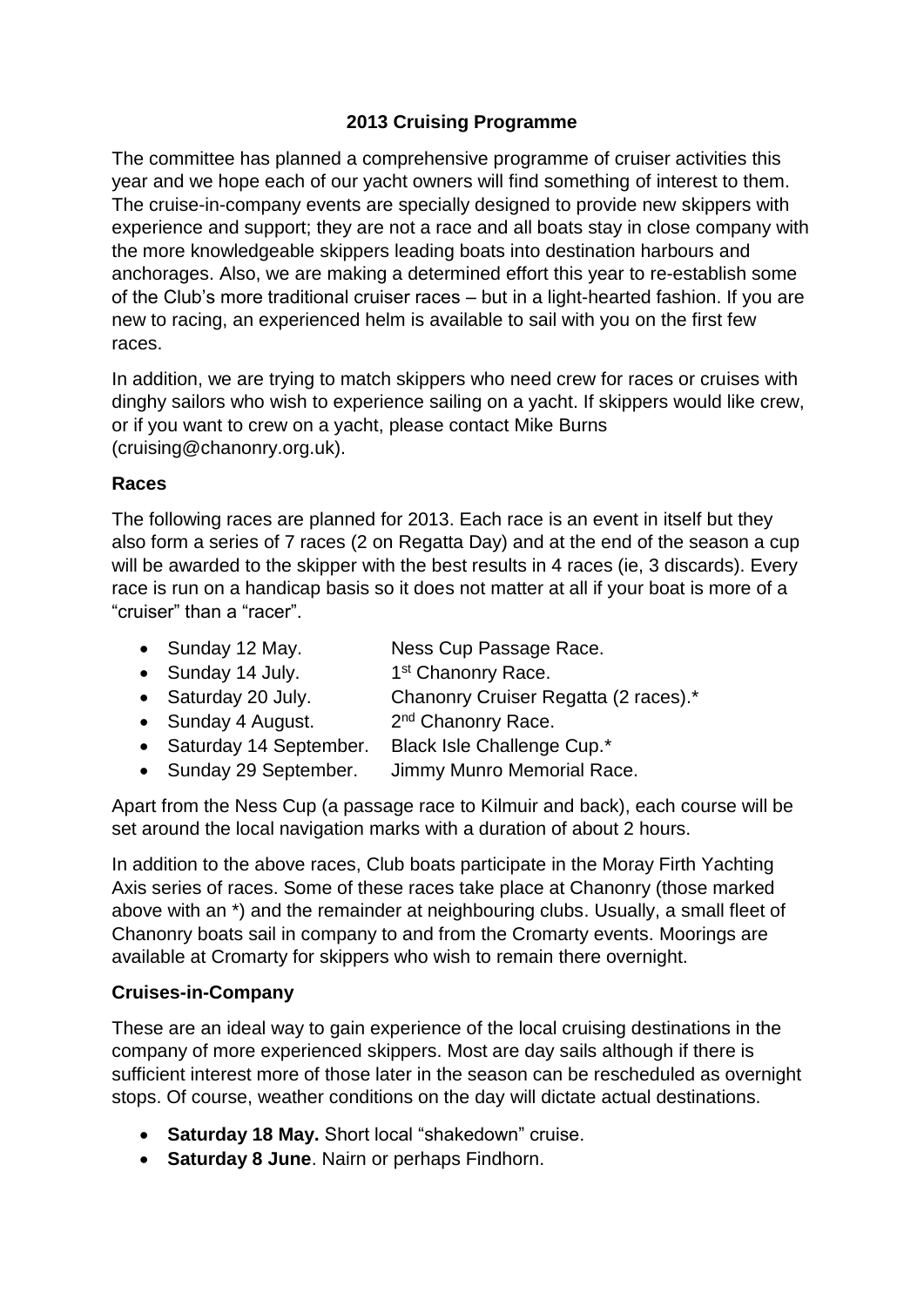# **2013 Cruising Programme**

The committee has planned a comprehensive programme of cruiser activities this year and we hope each of our yacht owners will find something of interest to them. The cruise-in-company events are specially designed to provide new skippers with experience and support; they are not a race and all boats stay in close company with the more knowledgeable skippers leading boats into destination harbours and anchorages. Also, we are making a determined effort this year to re-establish some of the Club's more traditional cruiser races – but in a light-hearted fashion. If you are new to racing, an experienced helm is available to sail with you on the first few races.

In addition, we are trying to match skippers who need crew for races or cruises with dinghy sailors who wish to experience sailing on a yacht. If skippers would like crew, or if you want to crew on a yacht, please contact Mike Burns (cruising@chanonry.org.uk).

#### **Races**

The following races are planned for 2013. Each race is an event in itself but they also form a series of 7 races (2 on Regatta Day) and at the end of the season a cup will be awarded to the skipper with the best results in 4 races (ie, 3 discards). Every race is run on a handicap basis so it does not matter at all if your boat is more of a "cruiser" than a "racer".

- Sunday 12 May. Ness Cup Passage Race.
- Sunday 14 July. 1<sup>st</sup> Chanonry Race.
- Saturday 20 July. Chanonry Cruiser Regatta (2 races).<sup>\*</sup>
- Sunday 4 August. 2<sup>nd</sup> Chanonry Race.
- Saturday 14 September. Black Isle Challenge Cup.\*
- Sunday 29 September. Jimmy Munro Memorial Race.

Apart from the Ness Cup (a passage race to Kilmuir and back), each course will be set around the local navigation marks with a duration of about 2 hours.

In addition to the above races, Club boats participate in the Moray Firth Yachting Axis series of races. Some of these races take place at Chanonry (those marked above with an \*) and the remainder at neighbouring clubs. Usually, a small fleet of Chanonry boats sail in company to and from the Cromarty events. Moorings are available at Cromarty for skippers who wish to remain there overnight.

### **Cruises-in-Company**

These are an ideal way to gain experience of the local cruising destinations in the company of more experienced skippers. Most are day sails although if there is sufficient interest more of those later in the season can be rescheduled as overnight stops. Of course, weather conditions on the day will dictate actual destinations.

- **Saturday 18 May.** Short local "shakedown" cruise.
- **Saturday 8 June**. Nairn or perhaps Findhorn.